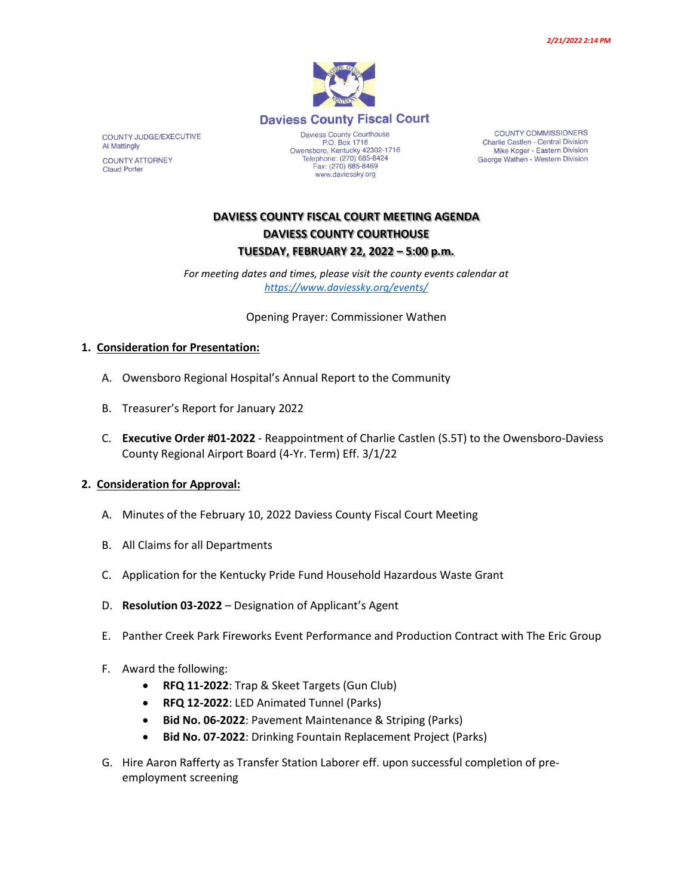

www.daviessky.org

COUNTY COMMISSIONERS Charlie Castlen - Central Division Mike Koger - Eastern Division George Wathen - Western Division

# **DAVIESS COUNTY FISCAL COURT MEETING AGENDA DAVIESS COUNTY COURTHOUSE TUESDAY, FEBRUARY 22, 2022 – 5:00 p.m.**

*For meeting dates and times, please visit the county events calendar at <https://www.daviessky.org/events/>*

Opening Prayer: Commissioner Wathen

#### **1. Consideration for Presentation:**

- A. Owensboro Regional Hospital's Annual Report to the Community
- B. Treasurer's Report for January 2022
- C. **Executive Order #01-2022** Reappointment of Charlie Castlen (S.5T) to the Owensboro-Daviess County Regional Airport Board (4-Yr. Term) Eff. 3/1/22

#### **2. Consideration for Approval:**

- A. Minutes of the February 10, 2022 Daviess County Fiscal Court Meeting
- B. All Claims for all Departments
- C. Application for the Kentucky Pride Fund Household Hazardous Waste Grant
- D. **Resolution 03-2022** Designation of Applicant's Agent
- E. Panther Creek Park Fireworks Event Performance and Production Contract with The Eric Group
- F. Award the following:
	- **RFQ 11-2022**: Trap & Skeet Targets (Gun Club)
	- **RFQ 12-2022**: LED Animated Tunnel (Parks)
	- **Bid No. 06-2022**: Pavement Maintenance & Striping (Parks)
	- **Bid No. 07-2022**: Drinking Fountain Replacement Project (Parks)
- G. Hire Aaron Rafferty as Transfer Station Laborer eff. upon successful completion of preemployment screening

COUNTY JUDGE/EXECUTIVE **Al Mattingly COUNTY ATTORNEY Claud Porter**